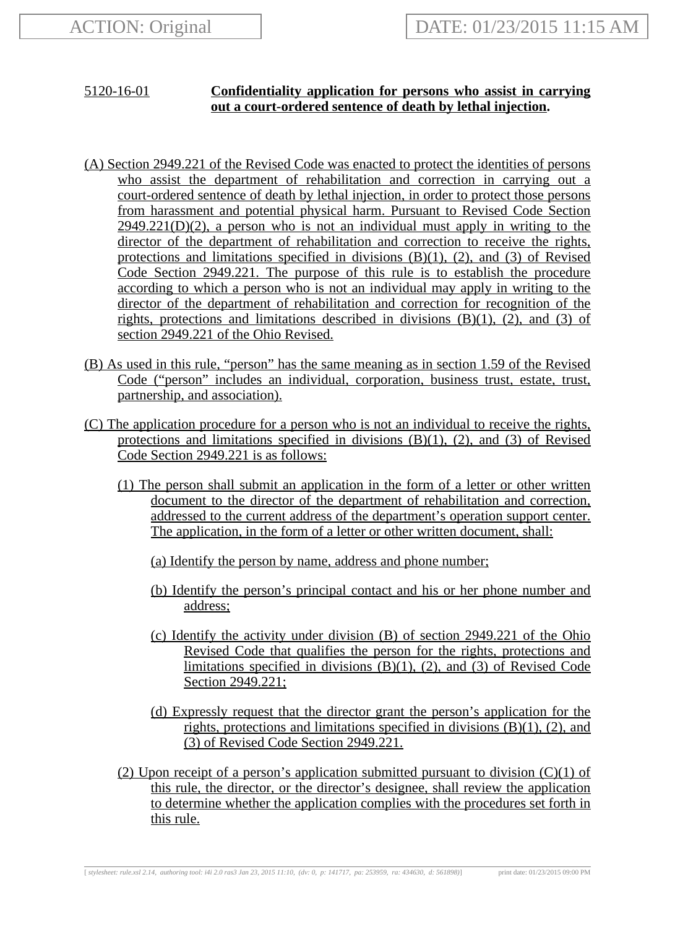## 5120-16-01 **Confidentiality application for persons who assist in carrying out a court-ordered sentence of death by lethal injection.**

- (A) Section 2949.221 of the Revised Code was enacted to protect the identities of persons who assist the department of rehabilitation and correction in carrying out a court-ordered sentence of death by lethal injection, in order to protect those persons from harassment and potential physical harm. Pursuant to Revised Code Section  $2949.221(D)(2)$ , a person who is not an individual must apply in writing to the director of the department of rehabilitation and correction to receive the rights, protections and limitations specified in divisions  $(B)(1)$ ,  $(2)$ , and  $(3)$  of Revised Code Section 2949.221. The purpose of this rule is to establish the procedure according to which a person who is not an individual may apply in writing to the director of the department of rehabilitation and correction for recognition of the rights, protections and limitations described in divisions (B)(1), (2), and (3) of section 2949.221 of the Ohio Revised.
- (B) As used in this rule, "person" has the same meaning as in section 1.59 of the Revised Code ("person" includes an individual, corporation, business trust, estate, trust, partnership, and association).
- (C) The application procedure for a person who is not an individual to receive the rights, protections and limitations specified in divisions (B)(1), (2), and (3) of Revised Code Section 2949.221 is as follows:
	- (1) The person shall submit an application in the form of a letter or other written document to the director of the department of rehabilitation and correction, addressed to the current address of the department's operation support center. The application, in the form of a letter or other written document, shall:
		- (a) Identify the person by name, address and phone number;
		- (b) Identify the person's principal contact and his or her phone number and address;
		- (c) Identify the activity under division (B) of section 2949.221 of the Ohio Revised Code that qualifies the person for the rights, protections and limitations specified in divisions  $(B)(1)$ ,  $(2)$ , and  $(3)$  of Revised Code Section 2949.221;
		- (d) Expressly request that the director grant the person's application for the rights, protections and limitations specified in divisions  $(B)(1)$ ,  $(2)$ , and (3) of Revised Code Section 2949.221.
	- (2) Upon receipt of a person's application submitted pursuant to division  $(C)(1)$  of this rule, the director, or the director's designee, shall review the application to determine whether the application complies with the procedures set forth in this rule.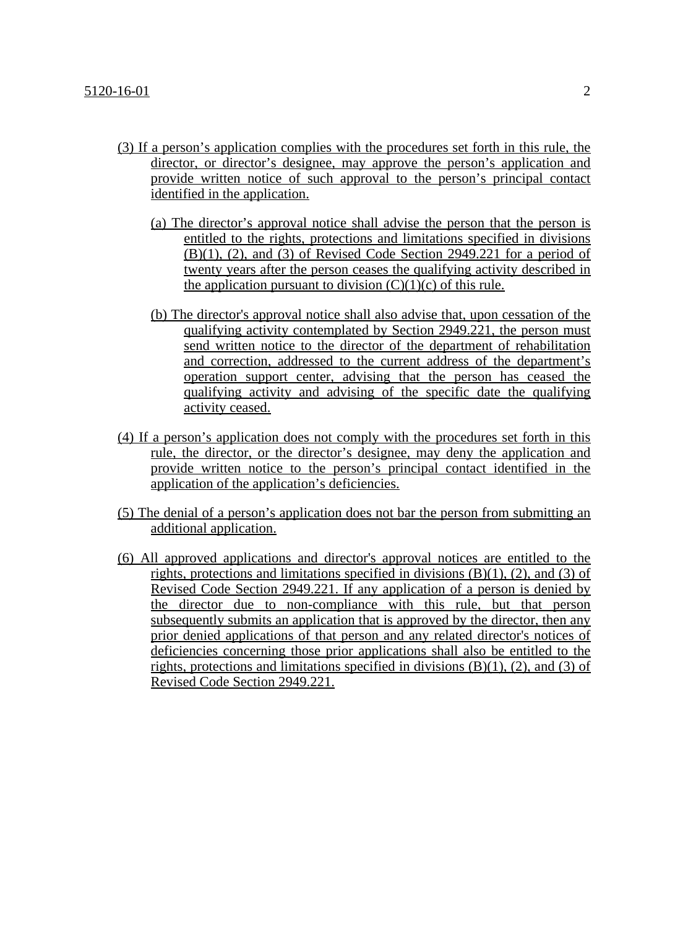- (3) If a person's application complies with the procedures set forth in this rule, the director, or director's designee, may approve the person's application and provide written notice of such approval to the person's principal contact identified in the application.
	- (a) The director's approval notice shall advise the person that the person is entitled to the rights, protections and limitations specified in divisions (B)(1), (2), and (3) of Revised Code Section 2949.221 for a period of twenty years after the person ceases the qualifying activity described in the application pursuant to division  $(C)(1)(c)$  of this rule.
	- (b) The director's approval notice shall also advise that, upon cessation of the qualifying activity contemplated by Section 2949.221, the person must send written notice to the director of the department of rehabilitation and correction, addressed to the current address of the department's operation support center, advising that the person has ceased the qualifying activity and advising of the specific date the qualifying activity ceased.
- (4) If a person's application does not comply with the procedures set forth in this rule, the director, or the director's designee, may deny the application and provide written notice to the person's principal contact identified in the application of the application's deficiencies.
- (5) The denial of a person's application does not bar the person from submitting an additional application.
- (6) All approved applications and director's approval notices are entitled to the rights, protections and limitations specified in divisions  $(B)(1)$ ,  $(2)$ , and  $(3)$  of Revised Code Section 2949.221. If any application of a person is denied by the director due to non-compliance with this rule, but that person subsequently submits an application that is approved by the director, then any prior denied applications of that person and any related director's notices of deficiencies concerning those prior applications shall also be entitled to the rights, protections and limitations specified in divisions  $(B)(1)$ ,  $(2)$ , and  $(3)$  of Revised Code Section 2949.221.